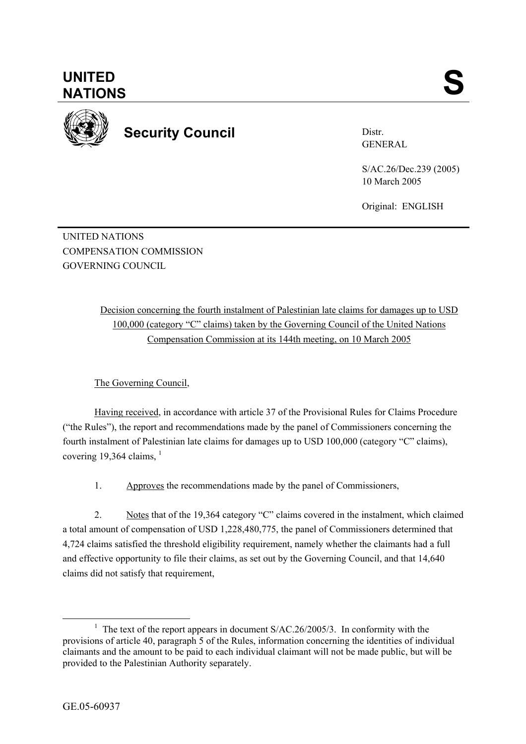

**Security Council** 

Distr. GENERAL

S/AC.26/Dec.239 (2005) 10 March 2005

Original: ENGLISH

UNITED NATIONS COMPENSATION COMMISSION GOVERNING COUNCIL

> Decision concerning the fourth instalment of Palestinian late claims for damages up to USD 100,000 (category "C" claims) taken by the Governing Council of the United Nations Compensation Commission at its 144th meeting, on 10 March 2005

The Governing Council,

Having received, in accordance with article 37 of the Provisional Rules for Claims Procedure ("the Rules"), the report and recommendations made by the panel of Commissioners concerning the fourth instalment of Palestinian late claims for damages up to USD 100,000 (category "C" claims), covering 19,364 claims.  $\frac{1}{1}$ 

1. Approves the recommendations made by the panel of Commissioners,

2. Notes that of the 19,364 category "C" claims covered in the instalment, which claimed a total amount of compensation of USD 1,228,480,775, the panel of Commissioners determined that 4,724 claims satisfied the threshold eligibility requirement, namely whether the claimants had a full and effective opportunity to file their claims, as set out by the Governing Council, and that 14,640 claims did not satisfy that requirement,

<sup>&</sup>lt;u>1</u> <sup>1</sup> The text of the report appears in document  $S/AC.26/2005/3$ . In conformity with the provisions of article 40, paragraph 5 of the Rules, information concerning the identities of individual claimants and the amount to be paid to each individual claimant will not be made public, but will be provided to the Palestinian Authority separately.